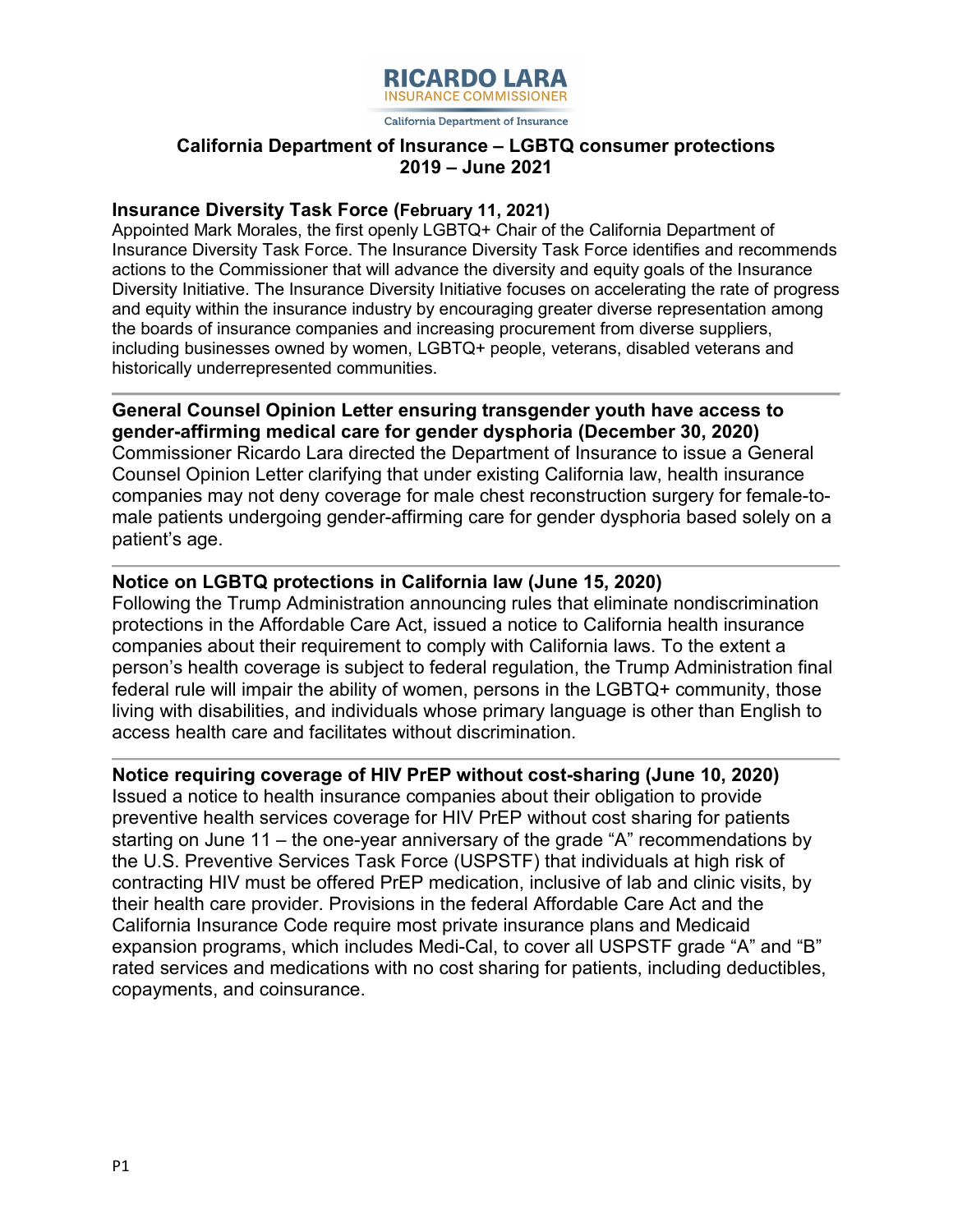

California Department of Insurance

# **2019 – June 2021 California Department of Insurance ‒ LGBTQ consumer protections**

#### **Insurance Diversity Task Force (February 11, 2021)**

 Appointed Mark Morales, the first openly LGBTQ+ Chair of the California Department of Diversity Initiative. The Insurance Diversity Initiative focuses on accelerating the rate of progress Insurance Diversity Task Force. The Insurance Diversity Task Force identifies and recommends actions to the Commissioner that will advance the diversity and equity goals of the Insurance and equity within the insurance industry by encouraging greater diverse representation among the boards of insurance companies and increasing procurement from diverse suppliers, including businesses owned by women, LGBTQ+ people, veterans, disabled veterans and historically underrepresented communities.

**General Counsel Opinion Letter ensuring transgender youth have access to gender-affirming medical care for gender dysphoria (December 30, 2020)** Commissioner Ricardo Lara directed the Department of Insurance to issue a General Counsel Opinion Letter clarifying that under existing California law, health insurance companies may not deny coverage for male chest reconstruction surgery for female-tomale patients undergoing gender-affirming care for gender dysphoria based solely on a patient's age.

# **Notice on LGBTQ protections in California law (June 15, 2020)**

 access health care and facilitates without discrimination. Following the Trump Administration announcing rules that eliminate nondiscrimination protections in the Affordable Care Act, issued a notice to California health insurance companies about their requirement to comply with California laws. To the extent a person's health coverage is subject to federal regulation, the Trump Administration final federal rule will impair the ability of women, persons in the LGBTQ+ community, those living with disabilities, and individuals whose primary language is other than English to

#### **Notice requiring coverage of HIV PrEP without cost-sharing (June 10, 2020)**

 preventive health services coverage for HIV PrEP without cost sharing for patients California Insurance Code require most private insurance plans and Medicaid Issued a notice to health insurance companies about their obligation to provide starting on June 11 – the one-year anniversary of the grade "A" recommendations by the U.S. Preventive Services Task Force (USPSTF) that individuals at high risk of contracting HIV must be offered PrEP medication, inclusive of lab and clinic visits, by their health care provider. Provisions in the federal Affordable Care Act and the expansion programs, which includes Medi-Cal, to cover all USPSTF grade "A" and "B" rated services and medications with no cost sharing for patients, including deductibles, copayments, and coinsurance.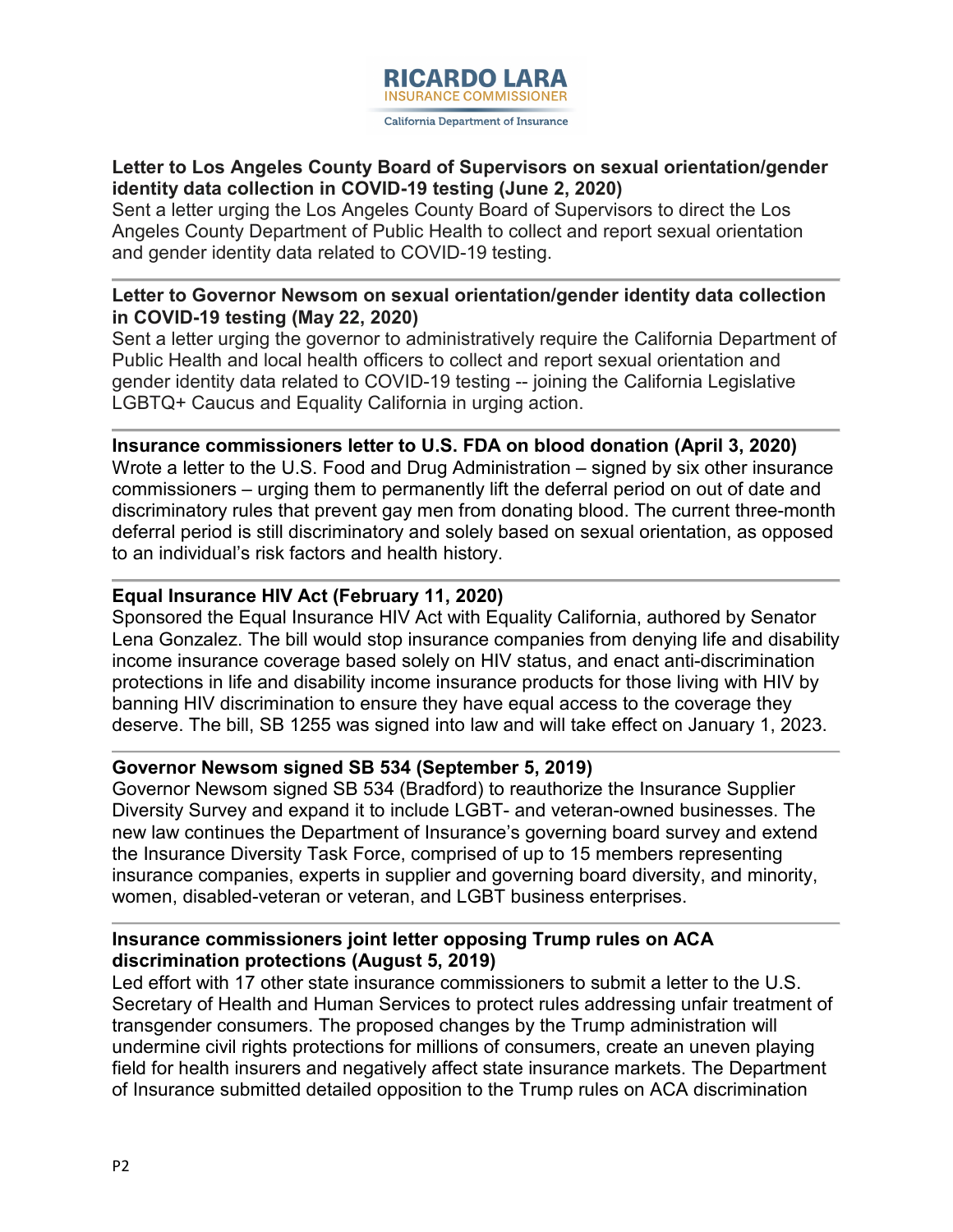

# **Letter to Los Angeles County Board of Supervisors on sexual orientation/gender identity data collection in COVID-19 testing (June 2, 2020)**

 Sent a letter urging the Los Angeles County Board of Supervisors to direct the Los Angeles County Department of Public Health to collect and report sexual orientation and gender identity data related to COVID-19 testing.

## **Letter to Governor Newsom on sexual orientation/gender identity data collection in COVID-19 testing (May 22, 2020)**

 Sent a letter urging the governor to administratively require the California Department of gender identity data related to COVID-19 testing -- joining the California Legislative Public Health and local health officers to collect and report sexual orientation and LGBTQ+ Caucus and Equality California in urging action.

**Insurance commissioners letter to U.S. FDA on blood donation (April 3, 2020)**  Wrote a letter to the U.S. Food and Drug Administration – signed by six other insurance commissioners – urging them to permanently lift the deferral period on out of date and discriminatory rules that prevent gay men from donating blood. The current three-month deferral period is still discriminatory and solely based on sexual orientation, as opposed to an individual's risk factors and health history.

## **Equal Insurance HIV Act (February 11, 2020)**

 income insurance coverage based solely on HIV status, and enact anti-discrimination Sponsored the Equal Insurance HIV Act with Equality California, authored by Senator Lena Gonzalez. The bill would stop insurance companies from denying life and disability protections in life and disability income insurance products for those living with HIV by banning HIV discrimination to ensure they have equal access to the coverage they deserve. The bill, SB 1255 was signed into law and will take effect on January 1, 2023.

# **Governor Newsom signed SB 534 (September 5, 2019)**

Governor Newsom signed SB 534 (Bradford) to reauthorize the Insurance Supplier Diversity Survey and expand it to include LGBT- and veteran-owned businesses. The new law continues the Department of Insurance's governing board survey and extend the Insurance Diversity Task Force, comprised of up to 15 members representing insurance companies, experts in supplier and governing board diversity, and minority, women, disabled-veteran or veteran, and LGBT business enterprises.

#### **discrimination protections (August 5, 2019) Insurance commissioners joint letter opposing Trump rules on ACA**

Led effort with 17 other state insurance commissioners to submit a letter to the U.S. Secretary of Health and Human Services to protect rules addressing unfair treatment of transgender consumers. The proposed changes by the Trump administration will undermine civil rights protections for millions of consumers, create an uneven playing field for health insurers and negatively affect state insurance markets. The Department of Insurance submitted detailed opposition to the Trump rules on ACA discrimination